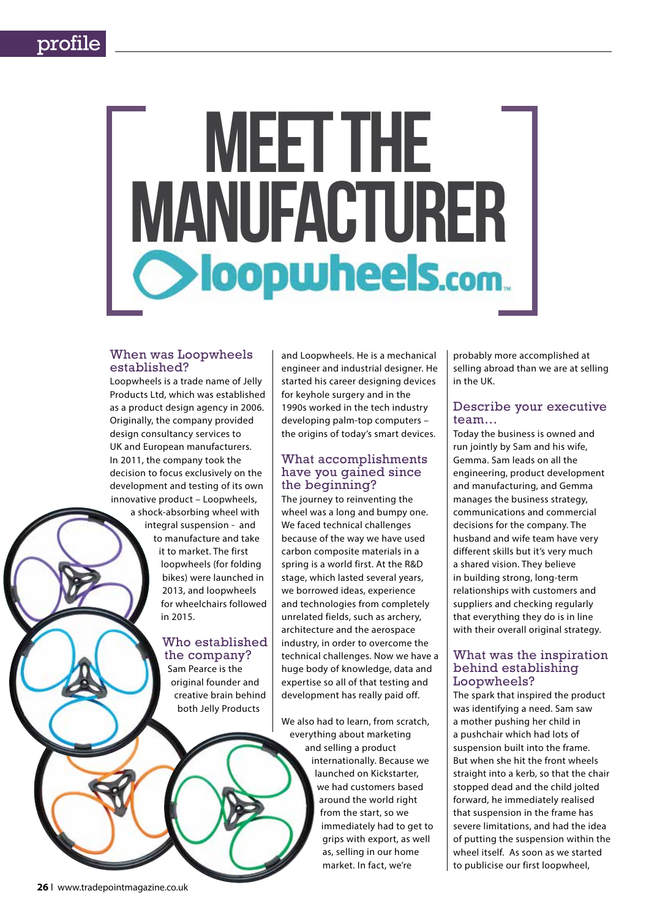# MEET THE MANUFACTURER

# When was Loopwheels established?

Loopwheels is a trade name of Jelly Products Ltd, which was established as a product design agency in 2006. Originally, the company provided design consultancy services to UK and European manufacturers. In 2011, the company took the decision to focus exclusively on the development and testing of its own innovative product – Loopwheels,

> a shock-absorbing wheel with integral suspension - and to manufacture and take it to market. The first loopwheels (for folding bikes) were launched in 2013, and loopwheels for wheelchairs followed in 2015.

# Who established the company?

Sam Pearce is the original founder and creative brain behind both Jelly Products

and Loopwheels. He is a mechanical engineer and industrial designer. He started his career designing devices for keyhole surgery and in the 1990s worked in the tech industry developing palm-top computers – the origins of today's smart devices.

# What accomplishments have you gained since the beginning?

The journey to reinventing the wheel was a long and bumpy one. We faced technical challenges because of the way we have used carbon composite materials in a spring is a world first. At the R&D stage, which lasted several years, we borrowed ideas, experience and technologies from completely unrelated fields, such as archery, architecture and the aerospace industry, in order to overcome the technical challenges. Now we have a huge body of knowledge, data and expertise so all of that testing and development has really paid off.

We also had to learn, from scratch, everything about marketing and selling a product internationally. Because we launched on Kickstarter, we had customers based around the world right from the start, so we immediately had to get to grips with export, as well as, selling in our home market. In fact, we're

probably more accomplished at selling abroad than we are at selling in the UK.

# Describe your executive team…

Today the business is owned and run jointly by Sam and his wife, Gemma. Sam leads on all the engineering, product development and manufacturing, and Gemma manages the business strategy, communications and commercial decisions for the company. The husband and wife team have very different skills but it's very much a shared vision. They believe in building strong, long-term relationships with customers and suppliers and checking regularly that everything they do is in line with their overall original strategy.

# What was the inspiration behind establishing Loopwheels?

The spark that inspired the product was identifying a need. Sam saw a mother pushing her child in a pushchair which had lots of suspension built into the frame. But when she hit the front wheels straight into a kerb, so that the chair stopped dead and the child jolted forward, he immediately realised that suspension in the frame has severe limitations, and had the idea of putting the suspension within the wheel itself. As soon as we started to publicise our first loopwheel,